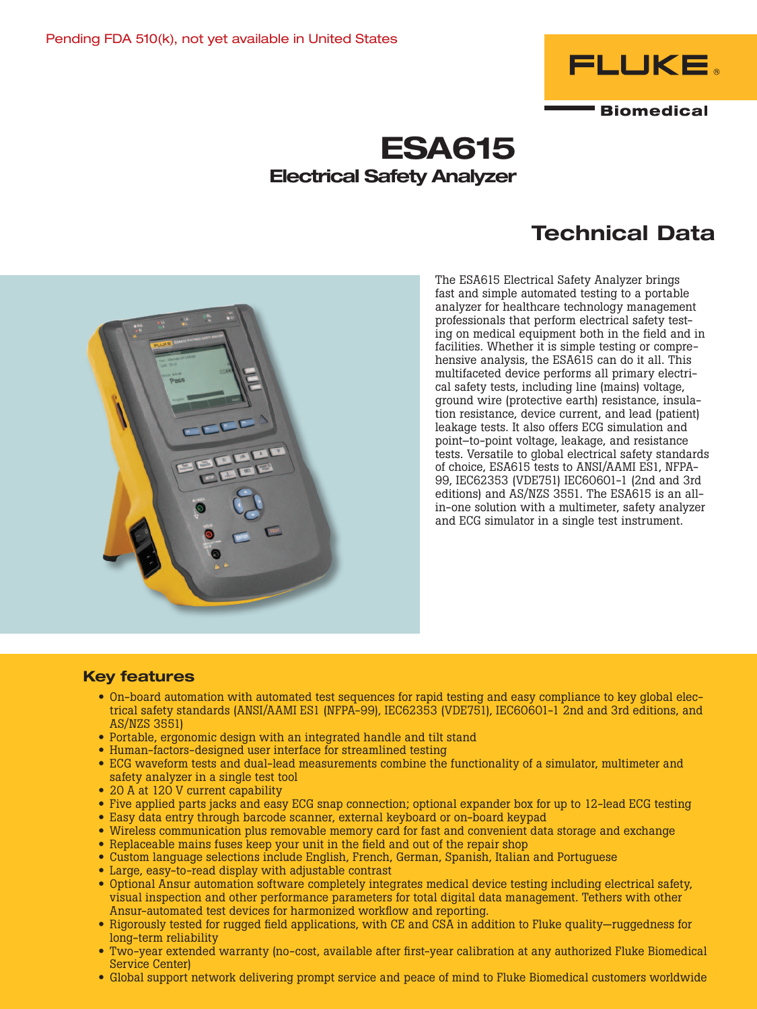

# ESA615 Electrical Safety Analyzer

# Technical Data



The ESA615 Electrical Safety Analyzer brings fast and simple automated testing to a portable analyzer for healthcare technology management professionals that perform electrical safety testing on medical equipment both in the field and in facilities. Whether it is simple testing or comprehensive analysis, the ESA615 can do it all. This multifaceted device performs all primary electrical safety tests, including line (mains) voltage, ground wire (protective earth) resistance, insulation resistance, device current, and lead (patient) leakage tests. It also offers ECG simulation and point–to-point voltage, leakage, and resistance tests. Versatile to global electrical safety standards of choice, ESA615 tests to ANSI/AAMI ES1, NFPA-99, IEC62353 (VDE751) IEC60601-1 (2nd and 3rd editions) and AS/NZS 3551. The ESA615 is an allin-one solution with a multimeter, safety analyzer and ECG simulator in a single test instrument.

## Key features

- On-board automation with automated test sequences for rapid testing and easy compliance to key global electrical safety standards (ANSI/AAMI ES1 (NFPA-99), IEC62353 (VDE751), IEC60601-1 2nd and 3rd editions, and AS/NZS 3551)
- Portable, ergonomic design with an integrated handle and tilt stand
- Human-factors-designed user interface for streamlined testing
- ECG waveform tests and dual-lead measurements combine the functionality of a simulator, multimeter and safety analyzer in a single test tool
- 20 A at 120 V current capability
- Five applied parts jacks and easy ECG snap connection; optional expander box for up to 12-lead ECG testing
- Easy data entry through barcode scanner, external keyboard or on-board keypad
- Wireless communication plus removable memory card for fast and convenient data storage and exchange
- Replaceable mains fuses keep your unit in the field and out of the repair shop
- Custom language selections include English, French, German, Spanish, Italian and Portuguese
- Large, easy-to-read display with adjustable contrast
- Optional Ansur automation software completely integrates medical device testing including electrical safety, visual inspection and other performance parameters for total digital data management. Tethers with other Ansur-automated test devices for harmonized workflow and reporting.
- Rigorously tested for rugged field applications, with CE and CSA in addition to Fluke quality—ruggedness for long-term reliability
- Two-year extended warranty (no-cost, available after first-year calibration at any authorized Fluke Biomedical Service Center)
- Global support network delivering prompt service and peace of mind to Fluke Biomedical customers worldwide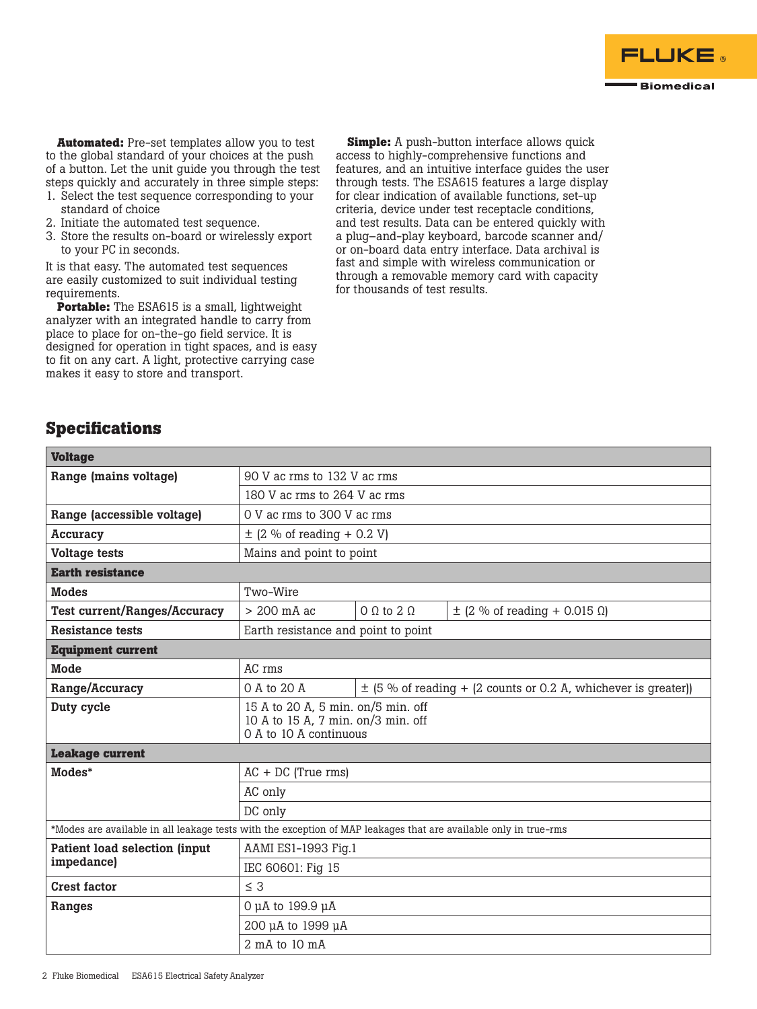

**Automated:** Pre-set templates allow you to test to the global standard of your choices at the push of a button. Let the unit guide you through the test steps quickly and accurately in three simple steps:

- 1. Select the test sequence corresponding to your standard of choice
- 2. Initiate the automated test sequence.
- 3. Store the results on-board or wirelessly export to your PC in seconds.

It is that easy. The automated test sequences are easily customized to suit individual testing requirements.

**Portable:** The ESA615 is a small, lightweight analyzer with an integrated handle to carry from place to place for on-the-go field service. It is designed for operation in tight spaces, and is easy to fit on any cart. A light, protective carrying case makes it easy to store and transport.

**Simple:** A push-button interface allows quick access to highly-comprehensive functions and features, and an intuitive interface guides the user through tests. The ESA615 features a large display for clear indication of available functions, set-up criteria, device under test receptacle conditions, and test results. Data can be entered quickly with a plug–and-play keyboard, barcode scanner and/ or on-board data entry interface. Data archival is fast and simple with wireless communication or through a removable memory card with capacity for thousands of test results.

# **Specifications**

| <b>Voltage</b>                                                                                                   |                                                                                                    |                                                                    |                                          |  |  |  |
|------------------------------------------------------------------------------------------------------------------|----------------------------------------------------------------------------------------------------|--------------------------------------------------------------------|------------------------------------------|--|--|--|
| Range (mains voltage)                                                                                            | 90 V ac rms to 132 V ac rms<br>180 V ac rms to 264 V ac rms                                        |                                                                    |                                          |  |  |  |
|                                                                                                                  |                                                                                                    |                                                                    |                                          |  |  |  |
| Range (accessible voltage)                                                                                       | 0 V ac rms to 300 V ac rms                                                                         |                                                                    |                                          |  |  |  |
| <b>Accuracy</b>                                                                                                  | $\pm$ (2 % of reading + 0.2 V)                                                                     |                                                                    |                                          |  |  |  |
| <b>Voltage tests</b>                                                                                             | Mains and point to point                                                                           |                                                                    |                                          |  |  |  |
| <b>Earth resistance</b>                                                                                          |                                                                                                    |                                                                    |                                          |  |  |  |
| <b>Modes</b>                                                                                                     | Two-Wire                                                                                           |                                                                    |                                          |  |  |  |
| <b>Test current/Ranges/Accuracy</b>                                                                              | $> 200$ mA ac                                                                                      | $0 \Omega$ to $2 \Omega$                                           | $\pm$ (2 % of reading + 0.015 $\Omega$ ) |  |  |  |
| <b>Resistance tests</b>                                                                                          | Earth resistance and point to point                                                                |                                                                    |                                          |  |  |  |
| <b>Equipment current</b>                                                                                         |                                                                                                    |                                                                    |                                          |  |  |  |
| Mode                                                                                                             | AC rms                                                                                             |                                                                    |                                          |  |  |  |
| Range/Accuracy                                                                                                   | 0 A to 20 A                                                                                        | $\pm$ (5 % of reading + (2 counts or 0.2 A, whichever is greater)) |                                          |  |  |  |
| Duty cycle                                                                                                       | 15 A to 20 A, 5 min. on/5 min. off<br>10 A to 15 A, 7 min. on/3 min. off<br>0 A to 10 A continuous |                                                                    |                                          |  |  |  |
| <b>Leakage current</b>                                                                                           |                                                                                                    |                                                                    |                                          |  |  |  |
| Modes*                                                                                                           | $AC + DC$ (True rms)                                                                               |                                                                    |                                          |  |  |  |
|                                                                                                                  | AC only                                                                                            |                                                                    |                                          |  |  |  |
|                                                                                                                  | DC only                                                                                            |                                                                    |                                          |  |  |  |
| *Modes are available in all leakage tests with the exception of MAP leakages that are available only in true-rms |                                                                                                    |                                                                    |                                          |  |  |  |
| Patient load selection (input<br>impedance)                                                                      | AAMI ES1-1993 Fig.1                                                                                |                                                                    |                                          |  |  |  |
|                                                                                                                  | IEC 60601: Fig 15                                                                                  |                                                                    |                                          |  |  |  |
| <b>Crest factor</b>                                                                                              | $\leq$ 3                                                                                           |                                                                    |                                          |  |  |  |
| Ranges                                                                                                           | 0 µA to 199.9 µA                                                                                   |                                                                    |                                          |  |  |  |
|                                                                                                                  | 200 µA to 1999 µA                                                                                  |                                                                    |                                          |  |  |  |
|                                                                                                                  | $2$ mA to $10$ mA                                                                                  |                                                                    |                                          |  |  |  |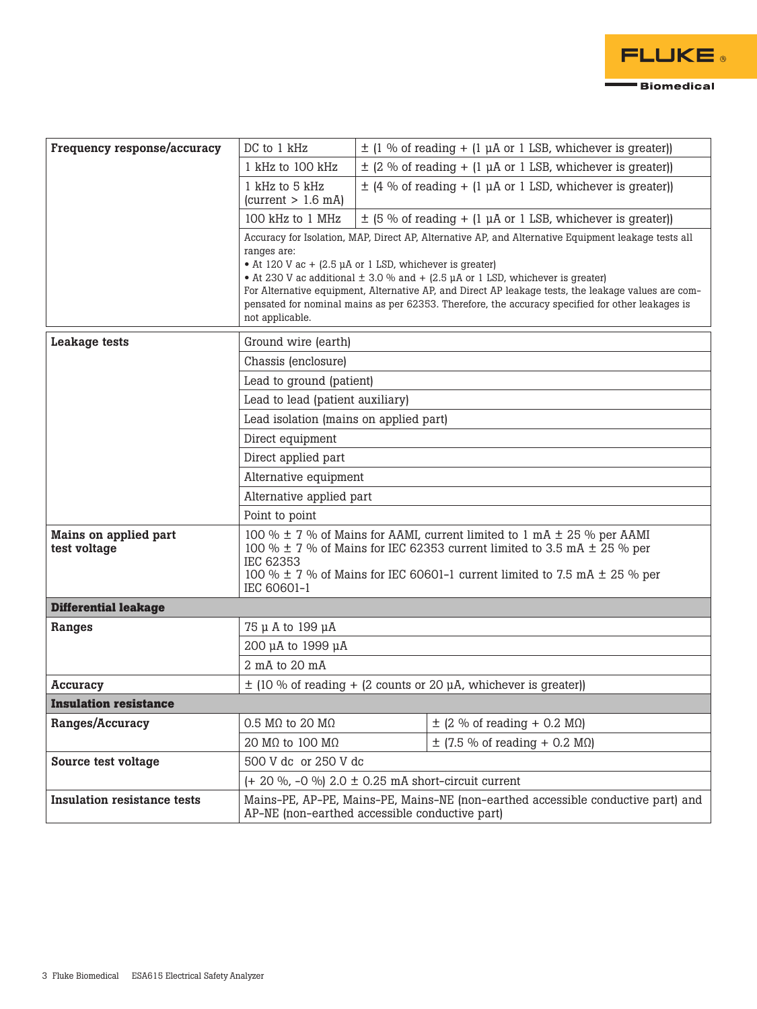

| Frequency response/accuracy           | DC to 1 kHz                                                                                                                                                                                                                                                                                                                                                                                                                                                                                             | $\pm$ (1 % of reading + (1 µA or 1 LSB, whichever is greater))                                                                     |                                                                |  |  |  |
|---------------------------------------|---------------------------------------------------------------------------------------------------------------------------------------------------------------------------------------------------------------------------------------------------------------------------------------------------------------------------------------------------------------------------------------------------------------------------------------------------------------------------------------------------------|------------------------------------------------------------------------------------------------------------------------------------|----------------------------------------------------------------|--|--|--|
|                                       | 1 kHz to 100 kHz                                                                                                                                                                                                                                                                                                                                                                                                                                                                                        |                                                                                                                                    | $\pm$ (2 % of reading + (1 µA or 1 LSB, whichever is greater)) |  |  |  |
|                                       | 1 kHz to 5 kHz<br>$\text{(current} > 1.6 \text{ mA}$                                                                                                                                                                                                                                                                                                                                                                                                                                                    |                                                                                                                                    | $\pm$ (4 % of reading + (1 µA or 1 LSD, whichever is greater)) |  |  |  |
|                                       | 100 kHz to 1 MHz                                                                                                                                                                                                                                                                                                                                                                                                                                                                                        | $\pm$ (5 % of reading + (1 µA or 1 LSB, whichever is greater))                                                                     |                                                                |  |  |  |
|                                       | Accuracy for Isolation, MAP, Direct AP, Alternative AP, and Alternative Equipment leakage tests all<br>ranges are:<br>• At 120 V ac + $(2.5 \mu A)$ or 1 LSD, whichever is greater)<br>• At 230 V ac additional $\pm$ 3.0 % and + (2.5 µA or 1 LSD, whichever is greater)<br>For Alternative equipment, Alternative AP, and Direct AP leakage tests, the leakage values are com-<br>pensated for nominal mains as per 62353. Therefore, the accuracy specified for other leakages is<br>not applicable. |                                                                                                                                    |                                                                |  |  |  |
| <b>Leakage tests</b>                  | Ground wire (earth)                                                                                                                                                                                                                                                                                                                                                                                                                                                                                     |                                                                                                                                    |                                                                |  |  |  |
|                                       | Chassis (enclosure)<br>Lead to ground (patient)<br>Lead to lead (patient auxiliary)<br>Lead isolation (mains on applied part)                                                                                                                                                                                                                                                                                                                                                                           |                                                                                                                                    |                                                                |  |  |  |
|                                       |                                                                                                                                                                                                                                                                                                                                                                                                                                                                                                         |                                                                                                                                    |                                                                |  |  |  |
|                                       |                                                                                                                                                                                                                                                                                                                                                                                                                                                                                                         |                                                                                                                                    |                                                                |  |  |  |
|                                       |                                                                                                                                                                                                                                                                                                                                                                                                                                                                                                         |                                                                                                                                    |                                                                |  |  |  |
|                                       | Direct equipment                                                                                                                                                                                                                                                                                                                                                                                                                                                                                        |                                                                                                                                    |                                                                |  |  |  |
|                                       | Direct applied part<br>Alternative equipment<br>Alternative applied part<br>Point to point                                                                                                                                                                                                                                                                                                                                                                                                              |                                                                                                                                    |                                                                |  |  |  |
|                                       |                                                                                                                                                                                                                                                                                                                                                                                                                                                                                                         |                                                                                                                                    |                                                                |  |  |  |
|                                       |                                                                                                                                                                                                                                                                                                                                                                                                                                                                                                         |                                                                                                                                    |                                                                |  |  |  |
|                                       |                                                                                                                                                                                                                                                                                                                                                                                                                                                                                                         |                                                                                                                                    |                                                                |  |  |  |
| Mains on applied part<br>test voltage | 100 % $\pm$ 7 % of Mains for AAMI, current limited to 1 mA $\pm$ 25 % per AAMI<br>100 % $\pm$ 7 % of Mains for IEC 62353 current limited to 3.5 mA $\pm$ 25 % per<br>IEC 62353<br>100 % $\pm$ 7 % of Mains for IEC 60601-1 current limited to 7.5 mA $\pm$ 25 % per<br>IEC 60601-1                                                                                                                                                                                                                      |                                                                                                                                    |                                                                |  |  |  |
| <b>Differential leakage</b>           |                                                                                                                                                                                                                                                                                                                                                                                                                                                                                                         |                                                                                                                                    |                                                                |  |  |  |
| Ranges                                | 75 µ A to 199 µA                                                                                                                                                                                                                                                                                                                                                                                                                                                                                        |                                                                                                                                    |                                                                |  |  |  |
|                                       | 200 µA to 1999 µA                                                                                                                                                                                                                                                                                                                                                                                                                                                                                       |                                                                                                                                    |                                                                |  |  |  |
|                                       | 2 mA to 20 mA                                                                                                                                                                                                                                                                                                                                                                                                                                                                                           |                                                                                                                                    |                                                                |  |  |  |
| Accuracy                              | $\pm$ (10 % of reading + (2 counts or 20 µA, whichever is greater))                                                                                                                                                                                                                                                                                                                                                                                                                                     |                                                                                                                                    |                                                                |  |  |  |
| <b>Insulation resistance</b>          |                                                                                                                                                                                                                                                                                                                                                                                                                                                                                                         |                                                                                                                                    |                                                                |  |  |  |
| Ranges/Accuracy                       | 0.5 M $\Omega$ to 20 M $\Omega$                                                                                                                                                                                                                                                                                                                                                                                                                                                                         |                                                                                                                                    | $\pm$ (2 % of reading + 0.2 MQ)                                |  |  |  |
|                                       | 20 MΩ to 100 MΩ                                                                                                                                                                                                                                                                                                                                                                                                                                                                                         |                                                                                                                                    | $\pm$ (7.5 % of reading + 0.2 M $\Omega$ )                     |  |  |  |
| Source test voltage                   | 500 V dc or 250 V dc                                                                                                                                                                                                                                                                                                                                                                                                                                                                                    |                                                                                                                                    |                                                                |  |  |  |
|                                       | $(+ 20 %, -0 %)$ 2.0 $\pm$ 0.25 mA short-circuit current                                                                                                                                                                                                                                                                                                                                                                                                                                                |                                                                                                                                    |                                                                |  |  |  |
| <b>Insulation resistance tests</b>    |                                                                                                                                                                                                                                                                                                                                                                                                                                                                                                         | Mains-PE, AP-PE, Mains-PE, Mains-NE (non-earthed accessible conductive part) and<br>AP-NE (non-earthed accessible conductive part) |                                                                |  |  |  |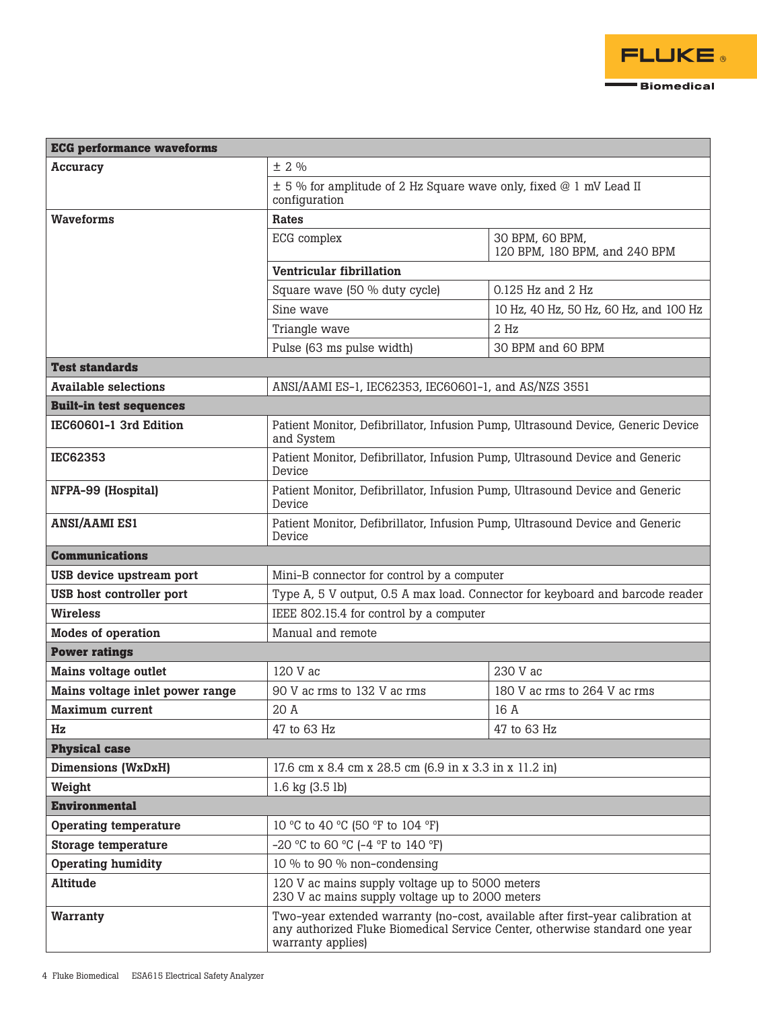

| <b>ECG</b> performance waveforms |                                                                                                                                                                                    |                                                  |  |  |  |  |
|----------------------------------|------------------------------------------------------------------------------------------------------------------------------------------------------------------------------------|--------------------------------------------------|--|--|--|--|
| <b>Accuracy</b>                  | ± 2%                                                                                                                                                                               |                                                  |  |  |  |  |
|                                  | $\pm$ 5 % for amplitude of 2 Hz Square wave only, fixed @ 1 mV Lead II<br>configuration                                                                                            |                                                  |  |  |  |  |
| <b>Waveforms</b>                 | Rates                                                                                                                                                                              |                                                  |  |  |  |  |
|                                  | ECG complex                                                                                                                                                                        | 30 BPM, 60 BPM,<br>120 BPM, 180 BPM, and 240 BPM |  |  |  |  |
|                                  | Ventricular fibrillation                                                                                                                                                           |                                                  |  |  |  |  |
|                                  | Square wave (50 % duty cycle)                                                                                                                                                      | 0.125 Hz and 2 Hz                                |  |  |  |  |
|                                  | Sine wave                                                                                                                                                                          | 10 Hz, 40 Hz, 50 Hz, 60 Hz, and 100 Hz           |  |  |  |  |
|                                  | Triangle wave                                                                                                                                                                      | 2 Hz                                             |  |  |  |  |
|                                  | Pulse (63 ms pulse width)                                                                                                                                                          | 30 BPM and 60 BPM                                |  |  |  |  |
| <b>Test standards</b>            |                                                                                                                                                                                    |                                                  |  |  |  |  |
| <b>Available selections</b>      | ANSI/AAMI ES-1, IEC62353, IEC60601-1, and AS/NZS 3551                                                                                                                              |                                                  |  |  |  |  |
| <b>Built-in test sequences</b>   |                                                                                                                                                                                    |                                                  |  |  |  |  |
| IEC60601-1 3rd Edition           | Patient Monitor, Defibrillator, Infusion Pump, Ultrasound Device, Generic Device<br>and System                                                                                     |                                                  |  |  |  |  |
| <b>IEC62353</b>                  | Patient Monitor, Defibrillator, Infusion Pump, Ultrasound Device and Generic<br>Device                                                                                             |                                                  |  |  |  |  |
| NFPA-99 (Hospital)               | Patient Monitor, Defibrillator, Infusion Pump, Ultrasound Device and Generic<br>Device                                                                                             |                                                  |  |  |  |  |
| <b>ANSI/AAMI ES1</b>             | Patient Monitor, Defibrillator, Infusion Pump, Ultrasound Device and Generic<br>Device                                                                                             |                                                  |  |  |  |  |
| <b>Communications</b>            |                                                                                                                                                                                    |                                                  |  |  |  |  |
| USB device upstream port         | Mini-B connector for control by a computer                                                                                                                                         |                                                  |  |  |  |  |
| USB host controller port         | Type A, 5 V output, 0.5 A max load. Connector for keyboard and barcode reader                                                                                                      |                                                  |  |  |  |  |
| <b>Wireless</b>                  | IEEE 802.15.4 for control by a computer                                                                                                                                            |                                                  |  |  |  |  |
| Modes of operation               | Manual and remote                                                                                                                                                                  |                                                  |  |  |  |  |
| <b>Power ratings</b>             |                                                                                                                                                                                    |                                                  |  |  |  |  |
| <b>Mains voltage outlet</b>      | 120 V ac                                                                                                                                                                           | 230 V ac                                         |  |  |  |  |
| Mains voltage inlet power range  | 90 V ac rms to 132 V ac rms                                                                                                                                                        | 180 V ac rms to 264 V ac rms                     |  |  |  |  |
| <b>Maximum current</b>           | $20\ \mbox{\AA}$                                                                                                                                                                   | 16 A                                             |  |  |  |  |
| Hz                               | 47 to 63 Hz                                                                                                                                                                        | 47 to 63 Hz                                      |  |  |  |  |
| <b>Physical case</b>             |                                                                                                                                                                                    |                                                  |  |  |  |  |
| <b>Dimensions (WxDxH)</b>        | 17.6 cm x 8.4 cm x 28.5 cm (6.9 in x 3.3 in x 11.2 in)                                                                                                                             |                                                  |  |  |  |  |
| Weight                           | 1.6 $kg$ (3.5 lb)                                                                                                                                                                  |                                                  |  |  |  |  |
| <b>Environmental</b>             |                                                                                                                                                                                    |                                                  |  |  |  |  |
| <b>Operating temperature</b>     | 10 °C to 40 °C (50 °F to 104 °F)                                                                                                                                                   |                                                  |  |  |  |  |
| <b>Storage temperature</b>       | $-20$ °C to 60 °C ( $-4$ °F to 140 °F)                                                                                                                                             |                                                  |  |  |  |  |
| <b>Operating humidity</b>        | 10 % to 90 % non-condensing                                                                                                                                                        |                                                  |  |  |  |  |
| <b>Altitude</b>                  | 120 V ac mains supply voltage up to 5000 meters<br>230 V ac mains supply voltage up to 2000 meters                                                                                 |                                                  |  |  |  |  |
| Warranty                         | Two-year extended warranty (no-cost, available after first-year calibration at<br>any authorized Fluke Biomedical Service Center, otherwise standard one year<br>warranty applies) |                                                  |  |  |  |  |